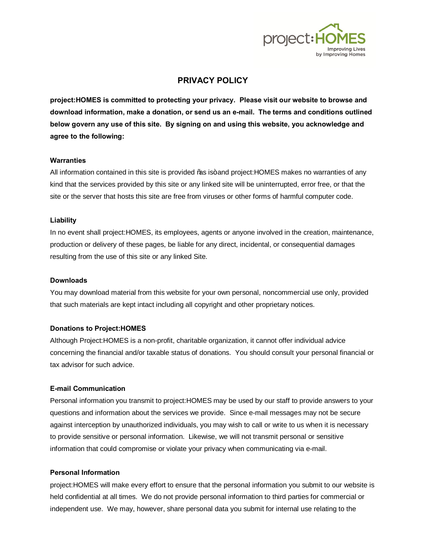

# **PRIVACY POLICY**

**project:HOMES is committed to protecting your privacy. Please visit our website to browse and download information, make a donation, or send us an e-mail. The terms and conditions outlined below govern any use of this site. By signing on and using this website, you acknowledge and agree to the following:**

#### **Warranties**

All information contained in this site is provided ‰ is+ and project: HOMES makes no warranties of any kind that the services provided by this site or any linked site will be uninterrupted, error free, or that the site or the server that hosts this site are free from viruses or other forms of harmful computer code.

## **Liability**

In no event shall project:HOMES, its employees, agents or anyone involved in the creation, maintenance, production or delivery of these pages, be liable for any direct, incidental, or consequential damages resulting from the use of this site or any linked Site.

## **Downloads**

You may download material from this website for your own personal, noncommercial use only, provided that such materials are kept intact including all copyright and other proprietary notices.

## **Donations to Project:HOMES**

Although Project:HOMES is a non-profit, charitable organization, it cannot offer individual advice concerning the financial and/or taxable status of donations. You should consult your personal financial or tax advisor for such advice.

## **E-mail Communication**

Personal information you transmit to project:HOMES may be used by our staff to provide answers to your questions and information about the services we provide. Since e-mail messages may not be secure against interception by unauthorized individuals, you may wish to call or write to us when it is necessary to provide sensitive or personal information. Likewise, we will not transmit personal or sensitive information that could compromise or violate your privacy when communicating via e-mail.

# **Personal Information**

project:HOMES will make every effort to ensure that the personal information you submit to our website is held confidential at all times. We do not provide personal information to third parties for commercial or independent use. We may, however, share personal data you submit for internal use relating to the